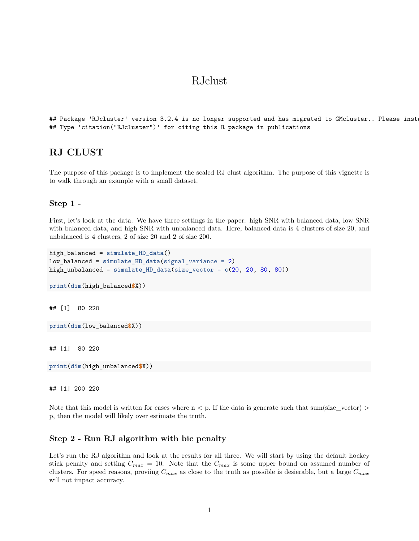# RJclust

```
## Package 'RJcluster' version 3.2.4 is no longer supported and has migrated to GMcluster.. Please inst
## Type 'citation("RJcluster")' for citing this R package in publications
```
## **RJ CLUST**

The purpose of this package is to implement the scaled RJ clust algorithm. The purpose of this vignette is to walk through an example with a small dataset.

#### **Step 1 -**

First, let's look at the data. We have three settings in the paper: high SNR with balanced data, low SNR with balanced data, and high SNR with unbalanced data. Here, balanced data is 4 clusters of size 20, and unbalanced is 4 clusters, 2 of size 20 and 2 of size 200.

```
high_balanced = simulate_HD_data()
low_balanced = simulate_HD_data(signal_variance = 2)
high_unbalanced = simulate_HD_data(size_vector = c(20, 20, 80, 80))
print(dim(high_balanced$X))
## [1] 80 220
print(dim(low_balanced$X))
## [1] 80 220
print(dim(high_unbalanced$X))
```
## [1] 200 220

Note that this model is written for cases where  $n < p$ . If the data is generate such that sum(size\_vector) > p, then the model will likely over estimate the truth.

### **Step 2 - Run RJ algorithm with bic penalty**

Let's run the RJ algorithm and look at the results for all three. We will start by using the default hockey stick penalty and setting  $C_{max} = 10$ . Note that the  $C_{max}$  is some upper bound on assumed number of clusters. For speed reasons, proviing *Cmax* as close to the truth as possible is desierable, but a large *Cmax* will not impact accuracy.